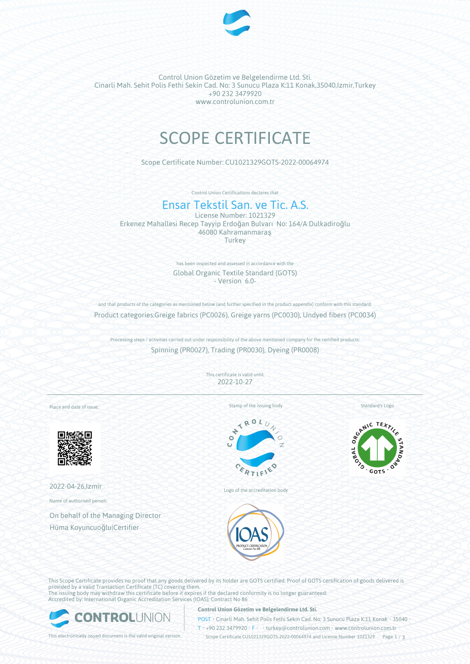

Control Union Gözetim ve Belgelendirme Ltd. Sti. Cinarli Mah. Sehit Polis Fethi Sekin Cad. No: 3 Sunucu Plaza K:11 Konak,35040,Izmir,Turkey +90 232 3479920 www.controlunion.com.tr

# SCOPE CERTIFICATE

Scope Certificate Number: CU1021329GOTS-2022-00064974

Control Union Certifications declares that

# Ensar Tekstil San. ve Tic. A.S.

License Number: 1021329 Erkenez Mahallesi Recep Tayyip Erdoğan Bulvarı No: 164/A Dulkadiroğlu 46080 Kahramanmaraş **Turkey** 

> has been inspected and assessed in accordance with the Global Organic Textile Standard (GOTS) - Version 6.0-

and that products of the categories as mentioned below (and further specified in the product appendix) conform with this standard. Product categories:Greige fabrics (PC0026), Greige yarns (PC0030), Undyed fibers (PC0034)

Processing steps / activities carried out under responsibility of the above mentioned company for the certified products: Spinning (PR0027), Trading (PR0030), Dyeing (PR0008)

> This certificate is valid until: 2022-10-27

Place and date of issue:



2022-04-26,Izmir

Name of authorised person:

On behalf of the Managing Director Hüma Koyuncuoğlu|Certifier

Stamp of the issuing body



Logo of the accreditation body



This Scope Certificate provides no proof that any goods delivered by its holder are GOTS certified. Proof of GOTS certification of goods delivered is provided by a valid Transaction Certificate (TC) covering them. The issuing body may withdraw this certificate before it expires if the declared conformity is no longer guaranteed. Accredited by: International Organic Accreditation Services (IOAS); Contract No 86

ONTROL

# **Control Union Gözetim ve Belgelendirme Ltd. Sti.**

POST • Cinarli Mah. Sehit Polis Fethi Sekin Cad. No: 3 Sunucu Plaza K:11 Konak • 35040 • T • +90 232 3479920 • F • • turkey@controlunion.com • www.controlunion.com.tr

This electronically issued document is the valid original version. Scope Certificate CU1021329GOTS-2022-00064974 and License Number 1021329 Page 1 / 3



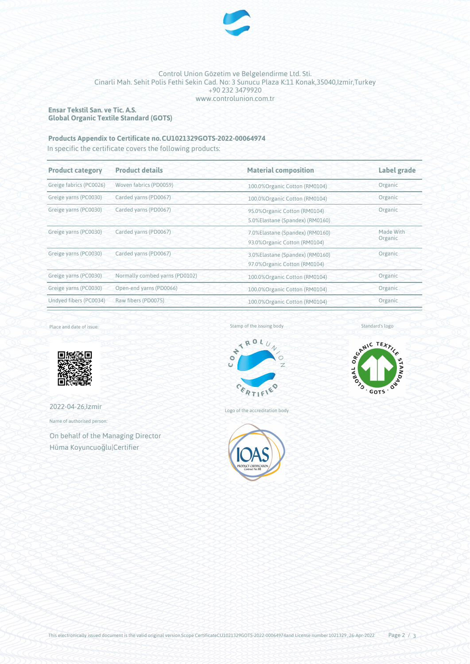

## Control Union Gözetim ve Belgelendirme Ltd. Sti. Cinarli Mah. Sehit Polis Fethi Sekin Cad. No: 3 Sunucu Plaza K:11 Konak,35040,Izmir,Turkey +90 232 3479920 www.controlunion.com.tr

# **Ensar Tekstil San. ve Tic. A.S. Global Organic Textile Standard (GOTS)**

# **Products Appendix to Certificate no.CU1021329GOTS-2022-00064974**

In specific the certificate covers the following products:

| <b>Product category</b> | <b>Product details</b>         | <b>Material composition</b>                                                 | Label grade          |  |
|-------------------------|--------------------------------|-----------------------------------------------------------------------------|----------------------|--|
| Greige fabrics (PC0026) | Woven fabrics (PD0059)         | 100.0% Organic Cotton (RM0104)                                              | Organic              |  |
| Greige yarns (PC0030)   | Carded yarns (PD0067)          | 100.0%Organic Cotton (RM0104)                                               | Organic              |  |
| Greige yarns (PC0030)   | Carded yarns (PD0067)          | Organic<br>95.0% Organic Cotton (RM0104)<br>5.0%Elastane (Spandex) (RM0160) |                      |  |
| Greige yarns (PC0030)   | Carded yarns (PD0067)          | 7.0%Elastane (Spandex) (RM0160)<br>93.0% Organic Cotton (RM0104)            | Made With<br>Organic |  |
| Greige yarns (PC0030)   | Carded yarns (PD0067)          | Organic<br>3.0%Elastane (Spandex) (RM0160)<br>97.0% Organic Cotton (RM0104) |                      |  |
| Greige yarns (PC0030)   | Normally combed yarns (PD0102) | 100.0% Organic Cotton (RM0104)                                              | Organic              |  |
| Greige yarns (PC0030)   | Open-end yarns (PD0066)        | 100.0% Organic Cotton (RM0104)                                              | Organic              |  |
| Undyed fibers (PC0034)  | Raw fibers (PD0075)            | 100.0% Organic Cotton (RM0104)                                              | Organic              |  |

Place and date of issue:



2022-04-26,Izmir

Name of authorised person:

On behalf of the Managing Director Hüma Koyuncuoğlu|Certifier

Stamp of the issuing body



Logo of the accreditation body



Standard's logo